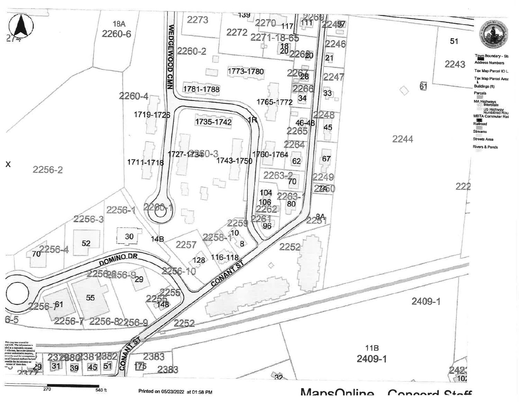

Printed on 05/23/2022 at 01:58 PM

ManeOnlino Connard Ciatt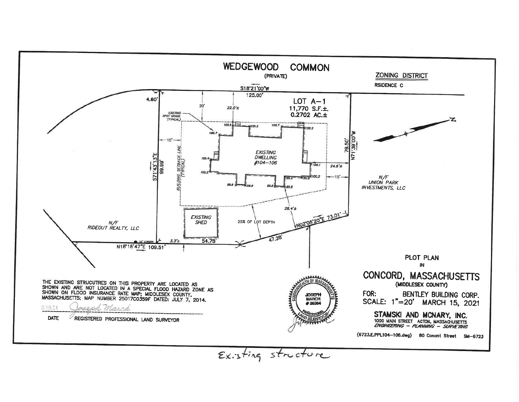

Existing structure